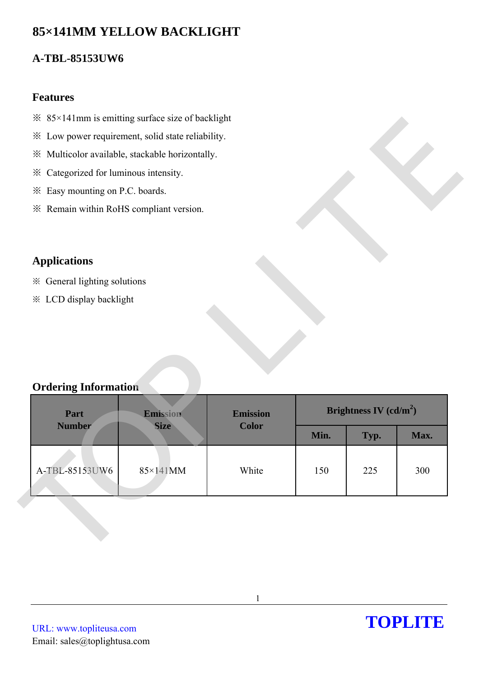# **85×141MM YELLOW BACKLIGHT**

## **A-TBL-85153UW6**

### **Features**

- $\frac{36}{85}$  × 141mm is emitting surface size of backlight
- ※ Low power requirement, solid state reliability.
- ※ Multicolor available, stackable horizontally.
- ※ Categorized for luminous intensity.
- ※ Easy mounting on P.C. boards.
- ※ Remain within RoHS compliant version.

## **Applications**

- ※ General lighting solutions
- ※ LCD display backlight

### **Ordering Information**

| <b>Features</b>                                   |                 |      |                          |      |
|---------------------------------------------------|-----------------|------|--------------------------|------|
| * 85×141mm is emitting surface size of backlight  |                 |      |                          |      |
| * Low power requirement, solid state reliability. |                 |      |                          |      |
| * Multicolor available, stackable horizontally.   |                 |      |                          |      |
| * Categorized for luminous intensity.             |                 |      |                          |      |
| * Easy mounting on P.C. boards.                   |                 |      |                          |      |
| * Remain within RoHS compliant version.           |                 |      |                          |      |
|                                                   |                 |      |                          |      |
|                                                   |                 |      |                          |      |
| <b>Applications</b>                               |                 |      |                          |      |
| * General lighting solutions                      |                 |      |                          |      |
|                                                   |                 |      |                          |      |
| <b>※ LCD display backlight</b>                    |                 |      |                          |      |
| <b>Ordering Information</b><br>Part<br>Emission   | <b>Emission</b> |      | Brightness IV $(cd/m^2)$ |      |
| <b>Number</b><br><b>Size</b>                      | <b>Color</b>    | Min. | Typ.                     | Max. |
| A-TBL-85153UW6<br>85×141MM                        | White           | 150  | 225                      | 300  |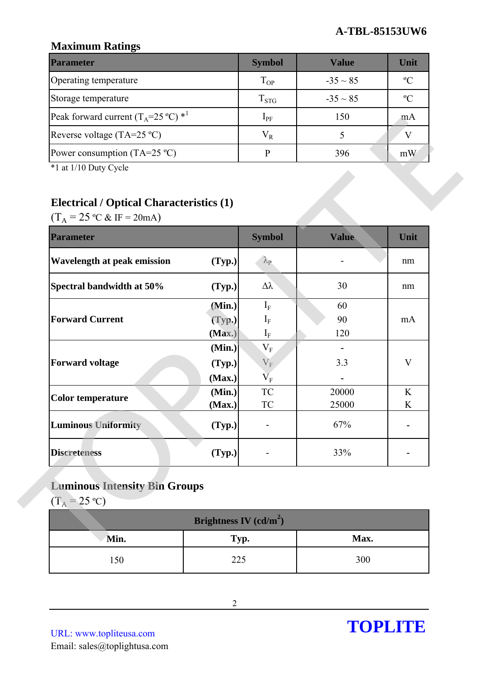## **Maximum Ratings**

| <b>Parameter</b>                                        | <b>Symbol</b> | <b>Value</b>  | Unit           |
|---------------------------------------------------------|---------------|---------------|----------------|
| Operating temperature                                   | $T_{OP}$      | $-35 \sim 85$ | $\mathcal{O}$  |
| Storage temperature                                     | $T_{STG}$     | $-35 \sim 85$ | $\mathfrak{O}$ |
| Peak forward current $(T_A=25 \degree C)$ <sup>*1</sup> | $1_{\rm PF}$  | 150           | m A            |
| Reverse voltage (TA=25 $^{\circ}$ C)                    | $V_{R}$       |               |                |
| Power consumption (TA=25 $^{\circ}$ C)                  |               | 396           | mW             |

## **Electrical / Optical Characteristics (1)**

| Peak forward current $(T_A=25 \degree C)$ * <sup>1</sup><br>Reverse voltage (TA=25 °C)<br>Power consumption (TA=25 $^{\circ}$ C) |        | $I_{PF}$                | 150             |      |
|----------------------------------------------------------------------------------------------------------------------------------|--------|-------------------------|-----------------|------|
|                                                                                                                                  |        |                         |                 | mA   |
|                                                                                                                                  |        | $V_R$                   | $5\overline{)}$ | V    |
|                                                                                                                                  |        | ${\bf P}$               | 396             | mW   |
| *1 at 1/10 Duty Cycle                                                                                                            |        |                         |                 |      |
|                                                                                                                                  |        |                         |                 |      |
| <b>Electrical / Optical Characteristics (1)</b>                                                                                  |        |                         |                 |      |
| $(T_A = 25 \text{ °C} \& \text{ IF} = 20 \text{ mA})$                                                                            |        |                         |                 |      |
| <b>Parameter</b>                                                                                                                 |        | <b>Symbol</b>           | Value           | Unit |
| <b>Wavelength at peak emission</b>                                                                                               | (Typ.) | $\lambda_{\rm P}$       |                 | nm   |
| Spectral bandwidth at 50%                                                                                                        | (Typ.) | $\Delta \lambda$        | 30              | nm   |
|                                                                                                                                  | (Min.) | $I_{\rm F}$             | 60              |      |
| <b>Forward Current</b>                                                                                                           | (Typ.) | $I_{F}$                 | 90              | mA   |
|                                                                                                                                  | (Max.) | $\mathbf{I}_{\text{F}}$ | 120             |      |
|                                                                                                                                  | (Min.) | $V_{F}$                 | $\blacksquare$  |      |
| <b>Forward voltage</b>                                                                                                           | (Typ.) | $V_F$                   | 3.3             | V    |
|                                                                                                                                  | (Max.) | $\rm V_F$               |                 |      |
| <b>Color temperature</b>                                                                                                         | (Min.) | TC                      | 20000           | K    |
|                                                                                                                                  | (Max.) | TC                      | 25000           | K    |
| <b>Luminous Uniformity</b>                                                                                                       | (Typ.) |                         | 67%             |      |
| <b>Discreteness</b>                                                                                                              | (Typ.) |                         | 33%             |      |

# **Luminous Intensity Bin Groups**

| Brightness IV $(cd/m^2)$ |      |      |  |  |  |
|--------------------------|------|------|--|--|--|
| Min.                     | Typ. | Max. |  |  |  |
| 150                      | 225  | 300  |  |  |  |

URL: www.topliteusa.com Email: sales@toplightusa.com

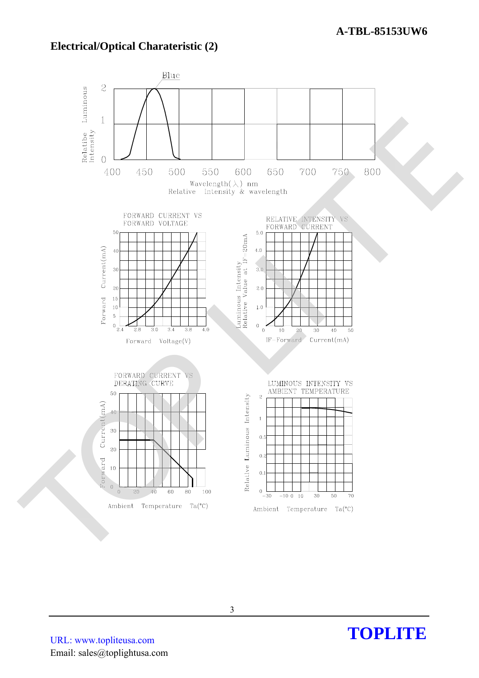### **Electrical/Optical Charateristic (2)**



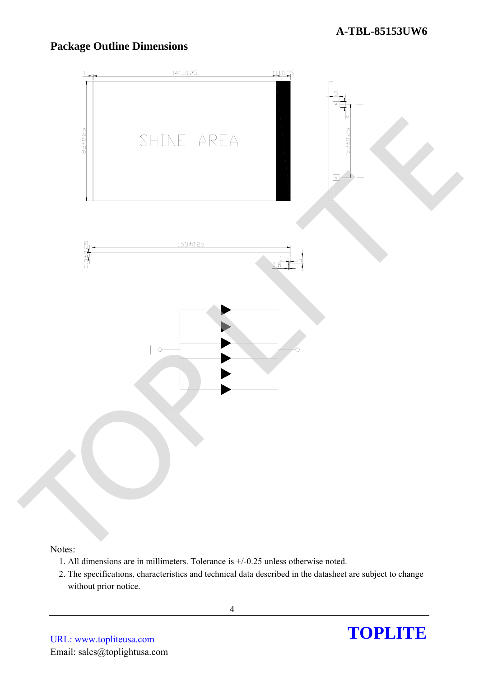## **Package Outline Dimensions**



#### Notes:

- 1. All dimensions are in millimeters. Tolerance is +/-0.25 unless otherwise noted.
- 2. The specifications, characteristics and technical data described in the datasheet are subject to change without prior notice.